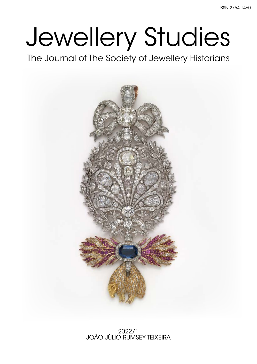# Jewellery Studies

The Journal of The Society of Jewellery Historians

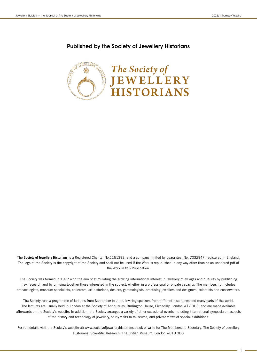#### Published by the Society of Jewellery Historians



The **Society of Jewellery Historians** is a Registered Charity: No.1151393, and a company limited by guarantee, No. 7032947, registered in England. The logo of the Society is the copyright of the Society and shall not be used if the Work is republished in any way other than as an unaltered pdf of the Work in this Publication.

The Society was formed in 1977 with the aim of stimulating the growing international interest in jewellery of all ages and cultures by publishing new research and by bringing together those interested in the subject, whether in a professional or private capacity. The membership includes archaeologists, museum specialists, collectors, art historians, dealers, gemmologists, practising jewellers and designers, scientists and conservators.

The Society runs a programme of lectures from September to June, inviting speakers from different disciplines and many parts of the world. The lectures are usually held in London at the Society of Antiquaries, Burlington House, Piccadilly, London W1V OHS, and are made available afterwards on the Society's website. In addition, the Society arranges a variety of other occasional events including international symposia on aspects of the history and technology of jewellery, study visits to museums, and private views of special exhibitions.

For full details visit the Society's website at: www.societyofjewelleryhistorians.ac.uk or write to: The Membership Secretary, The Society of Jewellery Historians, Scientific Research, The British Museum, London WC1B 3DG

1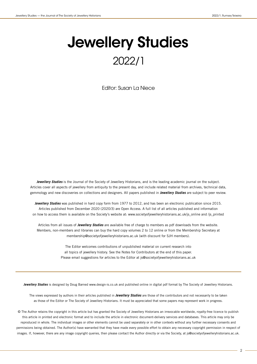# Jewellery Studies 2022/1

Editor: Susan La Niece

**Jewellery Studies** is the Journal of the Society of Jewellery Historians, and is the leading academic journal on the subject. Articles cover all aspects of jewellery from antiquity to the present day, and include related material from archives, technical data, gemmology and new discoveries on collections and designers. All papers published in **Jewellery Studies** are subject to peer review.

**Jewellery Studies** was published in hard copy form from 1977 to 2012, and has been an electronic publication since 2015. Articles published from December 2020 (2020/3) are Open Access. A full list of all articles published and information on how to access them is available on the Society's website at: www.societyofjewelleryhistorians.ac.uk/js\_online and /js\_printed

Articles from all issues of **Jewellery Studies** are available free of charge to members as pdf downloads from the website. Members, non-members and libraries can buy the hard copy volumes 2 to 12 online or from the Membership Secretary at membership@societyofjewelleryhistorians.ac.uk (with discount for SJH members).

> The Editor welcomes contributions of unpublished material on current research into all topics of jewellery history. See the Notes for Contributors at the end of this paper. Please email suggestions for articles to the Editor at js@societyofjewelleryhistorians.ac.uk

**Jewellery Studies** is designed by Doug Barned www.design-is.co.uk and published online in digital pdf format by The Society of Jewellery Historians.

The views expressed by authors in their articles published in **Jewellery Studies** are those of the contributors and not necessarily to be taken as those of the Editor or The Society of Jewellery Historians. It must be appreciated that some papers may represent work in progress.

© The Author retains the copyright in this article but has granted the Society of Jewellery Historians an irrevocable worldwide, royalty-free licence to publish this article in printed and electronic format and to include the article in electronic document-delivery services and databases. This article may only be reproduced in whole. The individual images or other elements cannot be used separately or in other contexts without any further necessary consents and permissions being obtained. The Author(s) have warranted that they have made every possible effort to obtain any necessary copyright permission in respect of images. If, however, there are any image copyright queries, then please contact the Author directly or via the Society, at js@societyofjewelleryhistorians.ac.uk.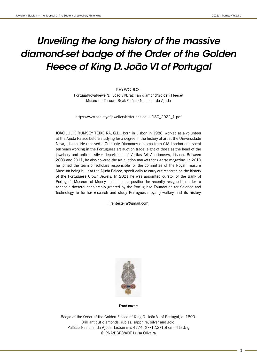# *Unveiling the long history of the massive diamond-set badge of the Order of the Golden Fleece of King D. João VI of Portugal*

#### KEYWORDS:

Portugal/royal/jewel/D. João VI/Brazilian diamond/Golden Fleece/ Museu do Tesouro Real/Palácio Nacional da Ajuda

https://www.societyofjewelleryhistorians.ac.uk/JSO\_2022\_1.pdf

JOÃO JÚLIO RUMSEY TEIXEIRA, G.D., born in Lisbon in 1988, worked as a volunteer at the Ajuda Palace before studying for a degree in the history of art at the Universidade Nova, Lisbon. He received a Graduate Diamonds diploma from GIA-London and spent ten years working in the Portuguese art auction trade, eight of those as the head of the jewellery and antique silver department of Veritas Art Auctioneers, Lisbon. Between 2009 and 2011, he also covered the art auction markets for  $L +$ arte magazine. In 2019 he joined the team of scholars responsible for the committee of the Royal Treasure Museum being built at the Ajuda Palace, specifically to carry out research on the history of the Portuguese Crown Jewels. In 2021 he was appointed curator of the Bank of Portugal's Museum of Money, in Lisbon, a position he recently resigned in order to accept a doctoral scholarship granted by the Portuguese Foundation for Science and Technology to further research and study Portuguese royal jewellery and its history.

jjrenteixeira@gmail.com



**Front cover:**

Badge of the Order of the Golden Fleece of King D. João VI of Portugal, c. 1800. Brilliant cut diamonds, rubies, sapphire, silver and gold. Palácio Nacional da Ajuda, Lisbon inv. 4774. 27x12,2x1.8 cm, 413.5 g © PNA/DGPC/ADF Luísa Oliveira

3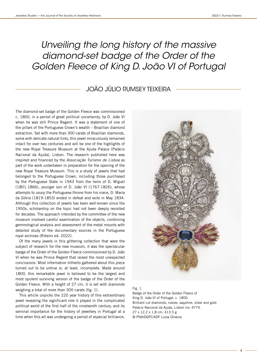# *Unveiling the long history of the massive diamond-set badge of the Order of the Golden Fleece of King D. João VI of Portugal*

# JOÃO JÚLIO RUMSEY TEIXEIRA

The diamond-set badge of the Golden Fleece was commissioned c. 1800, in a period of great political uncertainty, by D. João VI when he was still Prince Regent. It was a statement of one of the pillars of the Portuguese Crown's wealth – Brazilian diamond extraction. Set with more than 300 carats of Brazilian diamonds, some with delicate natural tints, this jewel miraculously remained intact for over two centuries and will be one of the highlights of the new Royal Treasure Museum at the Ajuda Palace (Palácio Nacional da Ajuda), Lisbon. The research published here was inspired and financed by the Associação Turismo de Lisboa as part of the work undertaken in preparation for the opening of the new Royal Treasure Museum. This is a study of jewels that had belonged to the Portuguese Crown, including those purchased by the Portuguese State in 1943 from the heirs of D. Miguel (1801-1866), younger son of D. João VI (1767-1826), whose attempts to usurp the Portuguese throne from his niece, D. Maria da Glória (1819-1853) ended in defeat and exile in May 1834. Although this collection of jewels has been well-known since the 1950s, scholarship on the topic had not been deeply revisited for decades. The approach intended by the committee of the new museum involved careful examination of the objects, combining gemmological analysis and assessment of the metal mounts with detailed study of the documentary sources in the Portuguese royal archives (Ribeiro ed. 2022).

Of the many jewels in this glittering collection that were the subject of research for the new museum, it was the spectacular badge of the Order of the Golden Fleece commissioned by D. João VI when he was Prince Regent that raised the most unexpected conclusions. Most information hitherto gathered about this piece turned out to be untrue or, at least, incomplete. Made around 1800, this remarkable jewel is believed to be the largest and most opulent surviving version of the badge of the Order of the Golden Fleece. With a height of 27 cm, it is set with diamonds weighing a total of more than 300 carats (fig. 1).

This article unpicks the 220 year history of this extraordinary jewel revealing the significant role it played in the complicated political world of the first half of the nineteenth century, and its seminal importance for the history of jewellery in Portugal at a time when this art was undergoing a period of especial brilliance.



Fig. 1.

Badge of the Order of the Golden Fleece of King D. João VI of Portugal, c. 1800. Brilliant cut diamonds, rubies, sapphire, silver and gold. Palácio Nacional da Ajuda, Lisbon inv. 4774. 27 x 12,2 x 1,8 cm, 413.5 g © PNA/DGPC/ADF Luísa Oliveira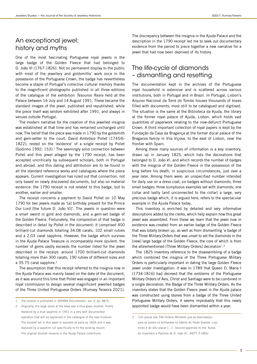## An exceptional jewel: history and myths

One of the most fascinating Portuguese royal jewels is the large badge of the Golden Fleece that had belonged to D. João VI (1767-1826). Not on permanent display to the public with most of the jewellery and goldsmiths' work once in the possession of the Portuguese Crown, the badge has nevertheless become a staple of Portugal's collective cultural memory thanks to the magnificent photographs published in all three editions of the catalogue of the exhibition Tesouros Reais held at the Palace between 16 July and 14 August 1991. These became the standard images of the jewel, published and republished, while the piece itself was seldom exhibited after 1991, and always in venues outside Portugal.

The modern narrative for the creation of this jewelled insignia was established at that time and has remained unchanged until now. The belief that the piece was made in 1790 by the goldsmith and gem-setter to the court, David Ambrósio Pollet (1745/6- 1822), rested on the 'evidence' of a single receipt by Pollet (Godinho 1992:  $153$ ).<sup>1</sup> The seemingly solid connection between Pollet and this jewel alleged by the 1790 receipt, has been accepted uncritically by subsequent scholars, both in Portugal and abroad, and this dating and attribution are to be found in all the standard reference works and catalogues where the piece appears. Current investigation has ruled out that connection, not only based on newly discovered documents, but also on material evidence: the 1790 receipt is not related to this badge, but to another, earlier and smaller.

The receipt concerns a payment to David Pollet on 10 May 1790 for two jewels made as '[a] birthday present for the Prince Our Lord [the future D. João VI]'. The jewels in question were a small sword in gold and diamonds, and a gem-set badge of the Golden Fleece. Fortunately, the composition of that badge is described in detail by Pollet in the document: it comprised 400 brilliant-cut diamonds totalling 34.08 carats, 102 small rubies and a 2.03 carat sapphire. However, the badge which survives in the Ajuda Palace Treasure is incomparably more opulent: the number of gems vastly exceeds the number listed for the jewel described in the receipt: around 1700 brilliant-cut diamonds totalling more than 300 carats, 190 rubies of different sizes and a 35.75 carat sapphire.<sup>2</sup>

The assumption that this receipt referred to the insignia now in the Ajuda Palace was mainly based on the date of the document, as it was around this time that Pollet was engaged in an important royal commission to design several magnificent jewelled badges of the Three United Portuguese Orders (Rumsey Teixeira 2021).

The discrepancy between the insignia in the Ajuda Palace and the description in the 1790 receipt led me to seek out documentary evidence from the period to piece together a new narrative for a jewel that had now been deprived of its history.

# The life-cycle of diamonds – dismantling and resetting

The documentation kept in the archives of the Portuguese royal household is extensive and is scattered across various institutions, both in Portugal and in Brazil. In Portugal, Lisbon's Arquivo Nacional da Torre do Tombo houses thousands of boxes filled with documents, most still to be catalogued and digitised. The situation is the same at the Biblioteca da Ajuda, the library at the former royal palace of Ajuda, Lisbon, which holds vast quantities of paperwork relating to the now-defunct Portuguese Crown. A third important collection of royal papers is kept by the Fundação da Casa da Bragança at the former ducal palace of the Braganza family in Vila Viçosa, to the east of Lisbon, near the frontier with Spain.

Among these many sources of information is a key inventory, drawn up in January 1825, which lists the decorations that belonged to D. João VI, and which records the number of badges with the insignia of the Golden Fleece in the possession of the king before his death, in suspicious circumstances, just over a year later. Among them were: an unspecified number intended for daily use on a dress coat; six badges without diamonds; three small badges; three sumptuous examples set with diamonds; one collar and lastly (and unconnected to the collar) a large, very precious badge which, it is argued here, refers to the spectacular example in the Ajuda Palace today.

This inventory is enriched by detailed and very informative descriptions added by the clerks, which help explain how this great jewel was assembled. From these we learn that the jewel now in existence was created from an earlier badge of the Golden Fleece that was totally broken up, as well as from dismantling 'a badge of the Three Military Orders that was unset to set the diamonds in the [new] large badge of the Golden Fleece, the core of which is from the aforementioned [Three Military Orders] decoration'.3

The 1825 inventory reference to the disassembling of a badge which combined the insignia of the Three Portuguese Military Orders is particularly important in dating the large Golden Fleece jewel under investigation: it was in 1789 that Queen D. Maria I (1734-1816) had decreed that the emblems of the Portuguese Military Orders of Avis, Christ and Santiago were to be combined in a single decoration: the Badge of the Three Military Orders. As the inventory states that the Golden Fleece jewel in the Ajuda palace was constructed using stones from a badge of the Three United Portuguese Military Orders, it seems improbably that this newly appointed badge would have been dismantled within a year.

The receipt is published in 'BANBA Documentos', vol. V, pp. 88-9.

<sup>2</sup> Originally, the large stone at the base was a blue glass doublet, finally replaced by a blue sapphire in 1951 in a very well documented operation that will be explained in the catalogue of the new museum. The doublet set in this jewel is reported as early as 1834 and it was replaced by a sapphire cut specifically to fit the existing mount. The original doublet remains in the Ajuda Palace collections.

<sup>3</sup> 'Um placar das Três Ordens Militares que se descravejou para se porem os brilhantes no hábito do Tosão Grande, cujo miolo é do dito placar […]'. Second appendix to the 'Autos do Inventário e Partilha de D. João VI', ANTT, fl.585v.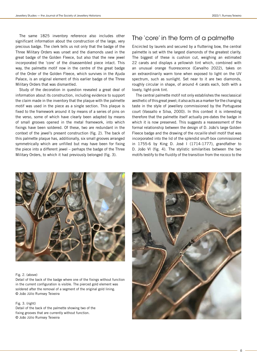The same 1825 inventory reference also includes other significant information about the construction of the large, very precious badge. The clerk tells us not only that the badge of the Three Military Orders was unset and the diamonds used in the great badge of the Golden Fleece, but also that the new jewel incorporated the 'core' of the disassembled piece intact. This way, the palmette motif now in the centre of the great badge of the Order of the Golden Fleece, which survives in the Ajuda Palace, is an original element of this earlier badge of the Three Military Orders that was dismantled.

Study of the decoration in question revealed a great deal of information about its construction, including evidence to support the claim made in the inventory that the plaque with the palmette motif was used in the piece as a single section. This plaque is fixed to the framework around it by means of a series of pins on the verso, some of which have clearly been adapted by means of small grooves opened in the metal framework, into which fixings have been soldered. Of these, two are redundant in the context of the jewel's present construction (fig. 2). The back of this palmette plaque has, additionally, six small grooves arranged symmetrically which are unfilled but may have been for fixing the piece into a different jewel – perhaps the badge of the Three Military Orders, to which it had previously belonged (fig. 3).

# The 'core' in the form of a palmette

Encircled by laurels and secured by a fluttering bow, the central palmette is set with the largest diamonds of the greatest clarity. The biggest of these is cushion cut, weighing an estimated 22 carats and displays a yellowish tint which, combined with an unusual orange fluorescence (Carvalho 2022), takes on an extraordinarily warm tone when exposed to light on the UV spectrum, such as sunlight. Set near to it are two diamonds, roughly circular in shape, of around 4 carats each, both with a lovely, light-pink tint.

The central palmette motif not only establishes the neoclassical aesthetic of this great jewel; it also acts as a marker for the changing taste in the style of jewellery commissioned by the Portuguese court (Vassallo e Silva, 2000). In this context it is interesting therefore that the palmette itself actually pre-dates the badge in which it is now preserved. This suggests a reassessment of the formal relationship between the design of D. João's large Golden Fleece badge and the drawing of the rocaille shell motif that was incorporated into the lid of the splendid snuff-box commissioned in 1755-6 by King D. José I (1714-1777), grandfather to D. João VI (fig. 4). The stylistic similarities between the two motifs testify to the fluidity of the transition from the rococo to the



#### Fig. 2. (above)

Detail of the back of the badge where one of the fixings without function in the current configuration is visible. The pierced gold element was soldered after the removal of a segment of the original gold lining. © João Júlio Rumsey Teixeira

#### Fig. 3. (right)

Detail of the back of the palmette showing two of the fixing grooves that are currently without function. © João Júlio Rumsey Teixeira

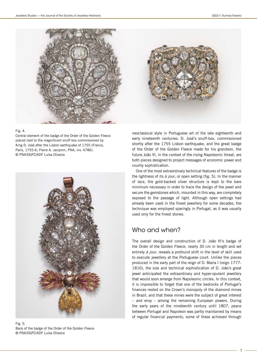

#### Fig. 4.

Central element of the badge of the Order of the Golden Fleece placed next to the magnificent snuff box commissioned by King D. José after the Lisbon earthquake of 1755 (France, Paris, 1755-6; Pierre A. Jacqmin, PNA, inv. 4786). © PNA/DGPC/ADF Luísa Oliveira



Fig. 5. Back of the badge of the Order of the Golden Fleece © PNA/DGPC/ADF Luísa Oliveira



neoclassical style in Portuguese art of the late eighteenth and early nineteenth centuries. D. José's snuff-box, commissioned shortly after the 1755 Lisbon earthquake, and the great badge of the Order of the Golden Fleece made for his grandson, the future João VI, in the context of the rising Napoleonic threat, are both pieces designed to project messages of economic power and courtly sophistication.

One of the most extraordinary technical features of the badge is the lightness of its à jour, or open setting (fig. 5). In the manner of lace, the gold-backed silver structure is kept to the bare minimum necessary in order to trace the design of the jewel and secure the gemstones which, mounted in this way, are completely exposed to the passage of light. Although open settings had already been used in the finest jewellery for some decades, the technique was employed sparingly in Portugal, as it was usually used only for the finest stones.

# Who and when?

The overall design and construction of D. João VI's badge of the Order of the Golden Fleece, nearly 30 cm in length and set entirely à jour, reveals a profound shift in the level of skill used to execute jewellery at the Portuguese court. Unlike the pieces produced in the early part of the reign of D. Maria I (reign 1777- 1816), the size and technical sophistication of D. João's great jewel anticipated the extraordinary and hyper-opulent jewellery that would soon emerge from Napoleonic circles. In this context, it is impossible to forget that one of the bedrocks of Portugal's finances rested on the Crown's monopoly of the diamond mines in Brazil, and that these mines were the subject of great interest – and envy – among the remaining European powers. During the early years of the nineteenth century until 1807, peace between Portugal and Napoleon was partly maintained by means of regular financial payments, some of these achieved through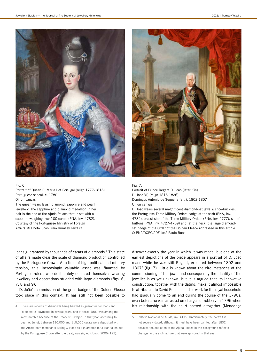

Fig. 6.

Portrait of Queen D. Maria I of Portugal (reign 1777-1816) Portuguese school, c. 1780

Oil on canvas The queen wears lavish diamond, sapphire and pearl jewellery. The sapphire and diamond medallion in her hair is the one at the Ajuda Palace that is set with a sapphire weighing over 100 carats (PNA, inv. 4782). Courtesy of the Portuguese Ministry of Foreign

Affairs, © Photo: João Júlio Rumsey Teixeira

loans guaranteed by thousands of carats of diamonds.<sup>4</sup> This state of affairs made clear the scale of diamond production controlled by the Portuguese Crown. At a time of high political and military tension, this increasingly valuable asset was flaunted by Portugal's rulers, who deliberately depicted themselves wearing jewellery and decorations studded with large diamonds (figs. 6, 7, 8 and 9).

D. João's commission of the great badge of the Golden Fleece took place in this context. It has still not been possible to

4 There are records of diamonds being handed as guarantee for loans and 'diplomatic' payments in several years, and of these 1801 was among the most notable because of the Treaty of Badajoz. In that year, according to Jean A. Junot, between 110,000 and 115,000 carats were deposited with the Amsterdam merchants Baring & Hope as a guarantee for a loan taken out by the Portuguese Crown after the treaty was signed (Junot, 2006: 122).



Fig. 7. Portrait of Prince Regent D. João (later King D. João VI) (reign 1816-1826) Domingos António de Sequeira (att.), 1802-1807 Oil on canvas D. João wears several magnificent diamond-set jewels: shoe-buckles, the Portuguese Three Military Orders badge at the sash (PNA, inv. 4784), breast-star of the Three Military Orders (PNA, inv. 4777), set of buttons (PNA, inv. 4727-4769) and, at the neck, the large diamondset badge of the Order of the Golden Fleece addressed in this article.

© PNA/DGPC/ADF José Paulo Ruas

discover exactly the year in which it was made, but one of the earliest depictions of the piece appears in a portrait of D. João made while he was still Regent, executed between 1802 and 18075 (fig. 7). Little is known about the circumstances of the commissioning of the jewel and consequently the identity of the jeweller is as yet unknown, but it is argued that its innovative construction, together with the dating, make it almost impossible to attribute it to David Pollet since his work for the royal household had gradually come to an end during the course of the 1790s, even before he was arrested on charges of robbery in 1796 when his relationship with the court ceased altogether (Mendonça

<sup>5</sup> Palácio Nacional de Ajuda, inv. 4115. Unfortunately, the portrait is not securely dated, although it must have been painted after 1802 because the depiction of the Ajuda Palace in the background reflects changes to the architecture that were approved in that year.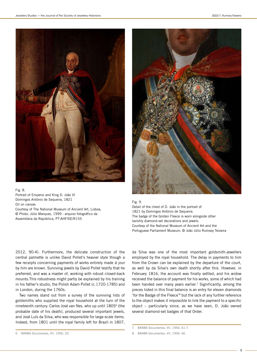

#### Fig. 8.

Portrait of Emperor and King D. João VI Domingos António de Sequeira, 1821 Oil on canvas Courtesy of The National Museum of Ancient Art, Lisboa, © Photo: Júlio Marques, 1999 - arquivo fotográfico da Assembleia da República, PT-AHF/DE/R155



Fig. 9. Detail of the chest of D. João in the portrait of 1821 by Domingos António de Sequeira. The badge of the Golden Fleece is worn alongside other lavishly diamond-set decorations and jewels. Courtesy of the National Museum of Ancient Art and the Portuguese Parliament Museum, © João Júlio Rumsey Teixeira

2012, 90-4). Furthermore, the delicate construction of the central palmette is unlike David Pollet's heavier style though a few receipts concerning payments of works entirely made à jour by him are known. Surviving jewels by David Pollet testify that he preferred, and was a master of, working with robust closed-back mounts.This robustness might partly be explained by his training in his father's studio, the Polish Adam Pollet (c.1720-1785) and in London, during the 1760s.

Two names stand out from a survey of the surviving lists of goldsmiths who supplied the royal household at the turn of the nineteenth century: Carlos José van Nes, who up until 18056 (the probable date of his death), produced several important jewels, and José Luís da Silva, who was responsible for large-scale items. Indeed, from 1801 until the royal family left for Brazil in 1807,

da Silva was one of the most important goldsmith-jewellers employed by the royal household. The delay in payments to him from the Crown can be explained by the departure of the court, as well by da Silva's own death shortly after this. However, in February 1816, the account was finally settled, and his widow received the balance of payment for his works, some of which had been handed over many years earlier.<sup>7</sup> Significantly, among the pieces listed in this final balance is an entry for eleven diamonds 'for the Badge of the Fleece'8 but the lack of any further reference to the object makes it impossible to link the payment to a specific object – particularly since, as we have seen, D. João owned several diamond-set badges of that Order.

<sup>6</sup> BANBA Documentos, VII, 1956: 20.

<sup>7</sup> BANBA Documentos, VII, 1956: 61-7.

<sup>8</sup> BANBA Documentos, VII, 1956: 66.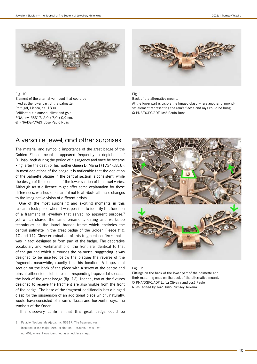

Fig. 10.

Element of the alternative mount that could be fixed at the lower part of the palmette. Portugal, Lisboa, ca. 1800. Brilliant cut diamond, silver and gold PNA, inv. 53317. 2,0 x 7,0 x 0,9 cm. © PNA/DGPC/ADF José Paulo Ruas



Fig. 11. Back of the alternative mount.

At the lower part is visible the hinged clasp where another diamondset element representing the ram's fleece and rays could be hung. © PNA/DGPC/ADF José Paulo Ruas

### A versatile jewel, and other surprises

The material and symbolic importance of the great badge of the Golden Fleece meant it appeared frequently in depictions of D. João, both during the period of his regency and once he became king, after the death of his mother Queen D. Maria I (1734-1816). In most depictions of the badge it is noticeable that the depiction of the palmette plaque in the central section is consistent, while the design of the elements of the lower section of the jewel varies. Although artistic licence might offer some explanation for these differences, we should be careful not to attribute all these changes to the imaginative vision of different artists.

One of the most surprising and exciting moments in this research took place when it was possible to identify the function of a fragment of jewellery that served no apparent purpose,<sup>9</sup> yet which shared the same ornament, dating and workshop techniques as the laurel branch frame which encircles the central palmette in the great badge of the Golden Fleece (fig. 10 and 11). Close examination of this fragment confirms that it was in fact designed to form part of the badge. The decorative vocabulary and workmanship of the front are identical to that of the garland which surrounds the palmette, suggesting it was designed to be inserted below the plaque; the reverse of the fragment, meanwhile, exactly fits this location. A trapezoidal section on the back of the piece with a screw at the centre and pins at either side, slots into a corresponding trapezoidal space at the back of the great badge (fig. 12). Indeed, two of the fixtures designed to receive the fragment are also visible from the front of the badge. The base of the fragment additionally has a hinged clasp for the suspension of an additional piece which, naturally, would have consisted of a ram's fleece and horizontal rays, the symbols of the Order.

This discovery confirms that this great badge could be

9 Palácio Nacional da Ajuda, inv. 53317. The fragment was included in the major 1991 exhibition, 'Tesouros Reais' (cat. no. 45), where it was identified as a necklace clasp.



#### Fig. 12.

Fittings on the back of the lower part of the palmette and their matching ones on the back of the alternative mount. © PNA/DGPC/ADF Luísa Oliveira and José Paulo Ruas, edited by João Júlio Rumsey Teixeira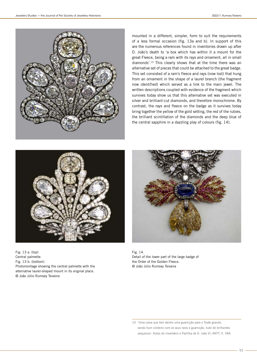

mounted in a different, simpler, form to suit the requirements of a less formal occasion (fig. 13a and b). In support of this are the numerous references found in inventories drawn up after D. João's death to 'a box which has within it a mount for the great Fleece, being a ram with its rays and ornament, all in small diamonds'.10 This clearly shows that at the time there was an alternative set of pieces that could be attached to the great badge. This set consisted of a ram's fleece and rays (now lost) that hung from an ornament in the shape of a laurel branch (the fragment now identified) which served as a link to the main jewel. The written descriptions coupled with evidence of the fragment which survives today show us that this alternative set was executed in silver and brilliant-cut diamonds, and therefore monochrome. By contrast, the rays and fleece on the badge as it survives today bring together the yellow of the gold setting, the red of the rubies, the brilliant scintillation of the diamonds and the deep blue of the central sapphire in a dazzling play of colours (fig. 14).



Fig. 13 a. (top) Central palmette Fig. 13 b. (bottom) Photomontage showing the central palmette with the alternative laurel-shaped mount in its original place. © João Júlio Rumsey Teixeira



Fig. 14. Detail of the lower part of the large badge of the Order of the Golden Fleece. © João Júlio Rumsey Teixeira

10 'Uma caixa que tem dentro uma guarnição para o Tosão grande, sendo hum cordeiro com os seus raios e guarnição, tudo de brilhantes pequenos': Autos do Inventário e Partilha de D. João VI, ANTT, fl. 584.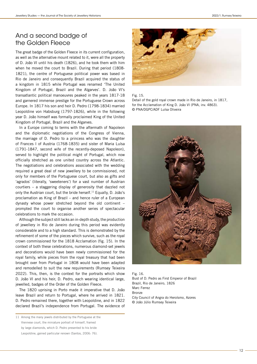## And a second badge of the Golden Fleece

The great badge of the Golden Fleece in its current configuration, as well as the alternative mount related to it, were all the property of D. João VI until his death (1826), and he took them with him when he moved the court to Brazil. During that period (1808- 1821), the centre of Portuguese political power was based in Rio de Janeiro and consequently Brazil acquired the status of a kingdom in 1815 while Portugal was renamed 'The United Kingdom of Portugal, Brazil and the Algarves'. D. João VI's transatlantic political manoeuvres peaked in the years 1817-18 and garnered immense prestige for the Portuguese Crown across Europe. In 1817 his son and heir D. Pedro (1798-1834) married Leopoldine von Habsburg (1797-1826), while in the following year D. João himself was formally proclaimed King of the United Kingdom of Portugal, Brazil and the Algarves.

In a Europe coming to terms with the aftermath of Napoleon and the diplomatic negotiations of the Congress of Vienna, the marriage of D. Pedro to a princess who was the daughter of Frances I of Austria (1768-1835) and sister of Maria Luísa (1791-1847, second wife of the recently-deposed Napoleon), served to highlight the political might of Portugal, which now officially stretched as one united country across the Atlantic. The negotiations and celebrations associated with the wedding required a great deal of new jewellery to be commissioned, not only for members of the Portuguese court, but also as gifts and 'agrados' (literally, 'sweeteners') for a vast number of Austrian courtiers – a staggering display of generosity that dazzled not only the Austrian court, but the bride herself.11 Equally, D. João's proclamation as King of Brazil – and hence ruler of a European dynasty whose power stretched beyond the old continent – prompted the court to organise another series of spectacular celebrations to mark the occasion.

Although the subject still lacks an in-depth study, the production of jewellery in Rio de Janeiro during this period was evidently considerable and to a high standard. This is demonstrated by the refinement of some of the pieces which survive, such as the royal crown commissioned for the 1818 Acclamation (fig. 15). In the context of both these celebrations, numerous diamond-set jewels and decorations would have been newly commissioned for the royal family, while pieces from the royal treasury that had been brought over from Portugal in 1808 would have been adapted and remodelled to suit the new requirements (Rumsey Teixeira 2022). This, then, is the context for the portraits which show D. João VI and his heir, D. Pedro, each wearing identical large, jewelled, badges of the Order of the Golden Fleece.

The 1820 uprising in Porto made it imperative that D. João leave Brazil and return to Portugal, where he arrived in 1821. D. Pedro remained there, together with Leopoldine, and in 1822 declared Brazil's independence from Portugal. The evidence of



Fig. 15.

Detail of the gold royal crown made in Rio de Janeiro, in 1817, for the Acclamation of King D. João VI (PNA, inv. 4863). © PNA/DGPC/ADF Luísa Oliveira



 $Fig. 16$ Bust of D. Pedro as First Emperor of Brazil Brazil, Rio de Janeiro, 1826 Marc Ferrez Bronze City Council of Angra do Heroísmo, Azores © João Júlio Rumsey Teixeira

<sup>11</sup> Among the many jewels distributed by the Portuguese at the Viennese court, the miniature portrait of himself, framed by large diamonds, which D. Pedro presented to his bride Leopoldine, gained particular renown (Santos, 2006: 76).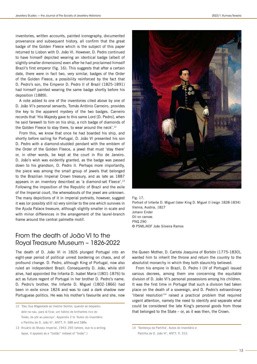inventories, written accounts, painted iconography, documented provenance and subsequent history, all confirm that the great badge of the Golden Fleece which is the subject of this paper returned to Lisbon with D. João VI. However, D. Pedro continued to have himself depicted wearing an identical badge (albeit of slightly smaller dimensions) even after he had proclaimed himself Brazil's first emperor (fig. 16). This suggests that after a certain date, there were in fact two, very similar, badges of the Order of the Golden Fleece, a possibility reinforced by the fact that D. Pedro's son, the Emperor D. Pedro II of Brazil (1825-1891) had himself painted wearing the same badge shortly before his deposition (1889).

A note added to one of the inventories cited above by one of D. João VI's personal servants, Tomás António Carneiro, provides the key to the apparent mystery of the two badges. Carneiro records that 'His Majesty gave to this same Lord [D. Pedro], when he said farewell to him on his ship, a rich badge of diamonds of the Golden Fleece to stay there, to wear around the neck'.<sup>12</sup>

From this, we know that once he had boarded his ship, and shortly before sailing for Portugal, D. João VI presented his son D. Pedro with a diamond-studded pendant with the emblem of the Order of the Golden Fleece, a jewel that must 'stay there' or, in other words, be kept at the court in Rio de Janeiro. D. João's wish was evidently granted, as the badge was passed down to his grandson, D. Pedro II. Perhaps more importantly, the piece was among the small group of jewels that belonged to the Brazilian Imperial Crown treasury, and as late as 1887 appears in an inventory described as 'a diamond-set Fleece'.<sup>13</sup> Following the imposition of the Republic of Brazil and the exile of the Imperial court, the whereabouts of the jewel are unknown. The many depictions of it in imperial portraits, however, suggest it was (or possibly still is) very similar to the one which survives in the Ajuda Palace treasure, although slightly smaller in scale and with minor differences in the arrangement of the laurel-branch frame around the central palmette motif.

# From the death of João VI to the Royal Treasure Museum – 1826-2022

The death of D. João VI in 1826 plunged Portugal into an eight-year period of political unrest bordering on chaos, and of profound change. D. Pedro, although King of Portugal, now also ruled an independent Brazil. Consequently D. João, while still alive, had appointed the Infanta D. Isabel Maria (1801-1876) to act as future regent of Portugal in her brother D. Pedro's name. D. Pedro's brother, the Infante D. Miguel (1802-1866) had been in exile since 1824 and was to cast a dark shadow over Portuguese politics. He was his mother's favourite and she, now



Fig. 17. Portrait of Infante D. Miguel (later King D. Miguel I) (reign 1828-1834) Vienna, Austria, 1827 Johann Ender Oil on canvas PNQ 290 © PSML/ADF João Silveira Ramos

the Queen Mother, D. Carlota Joaquina of Borbón (1775-1830), wanted him to inherit the throne and return the country to the absolutist monarchy in which they both staunchly believed.

From his empire in Brazil, D. Pedro I (IV of Portugal) issued various decrees, among them one concerning the equitable division of D. João VI's personal possessions among his children. It was the first time in Portugal that such a division had taken place on the death of a sovereign, and D. Pedro's extraordinary 'liberal resolution'14 raised a practical problem that required urgent attention, namely the need to identify and separate what could be considered the late King's personal goods from those that belonged to the State – or, as it was then, the Crown.

<sup>12</sup> 'Deu Sua Magestade ao mesmo Senhor, quando se despediu dele na nau, para lá ficar, um hábito de brilhantes rico do Tosão, de pôr ao pescoço'. Appendix 2 to 'Autos do Inventário e Partilha de D. João VI', ANTT, fl. 588 and 588v.

<sup>13</sup> Anuário do Museu Imperial, 1943: 265 (where, due to a writing lapse, it appears as a "tostão" instead of "tosão".)

<sup>14</sup> 'Sentença da Partilha', Autos do Inventário e

Partilha de D. João VI', ANTT, fl. 315.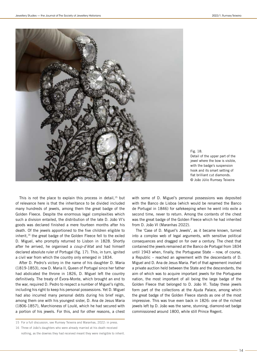

Fig. 18. Detail of the upper part of the jewel where the bow is visible, with the badge's suspension hook and its smart setting of flat brilliant cut diamonds. © João Júlio Rumsey Teixeira

This is not the place to explain this process in detail, $15$  but of relevance here is that the inheritance to be divided included many hundreds of jewels, among them the great badge of the Golden Fleece. Despite the enormous legal complexities which such a division entailed, the distribution of the late D. João VI's goods was declared finished a mere fourteen months after his death. Of the jewels apportioned to the five children eligible to inherit,<sup>16</sup> the great badge of the Golden Fleece fell to the exiled D. Miguel, who promptly returned to Lisbon in 1828. Shortly after he arrived, he organised a coup-d'état and had himself declared absolute ruler of Portugal (fig. 17). This, in turn, ignited a civil war from which the country only emerged in 1834.

After D. Pedro's victory in the name of his daughter D. Maria (1819-1853), now D. Maria II, Queen of Portugal since her father had abdicated the throne in 1826, D. Miguel left the country definitively. The treaty of Évora-Monte, which brought an end to the war, required D. Pedro to respect a number of Miguel's rights, including his right to keep his personal possessions. Yet D. Miguel had also incurred many personal debts during his brief reign, among them one with his youngest sister, D. Ana de Jesus Maria (1806-1857), Marchioness of Loulé, which he had secured with a portion of his jewels. For this, and for other reasons, a chest with some of D. Miguel's personal possessions was deposited with the Banco de Lisboa (which would be renamed the Banco de Portugal in 1846) for safekeeping when he went into exile a second time, never to return. Among the contents of the chest was the great badge of the Golden Fleece which he had inherited from D. João VI (Maranhas 2022).

The 'Case of D. Miguel's Jewels', as it became known, turned into a complex web of legal arguments, with sensitive political consequences and dragged on for over a century. The chest that contained the jewels remained at the Banco de Portugal from 1834 until 1943 when, finally, the Portuguese State – now, of course, a Republic – reached an agreement with the descendants of D. Miguel and D. Ana de Jesus Maria. Part of that agreement involved a private auction held between the State and the descendants, the aim of which was to acquire important jewels for the Portuguese nation, the most important of all being the large badge of the Golden Fleece that belonged to D. João VI. Today these jewels form part of the collections at the Ajuda Palace, among which the great badge of the Golden Fleece stands as one of the most impressive. This was true even back in 1826: one of the richest jewels left by D. João was the same, stunning, diamond-set badge commissioned around 1800, while still Prince Regent.

<sup>15</sup> For a full discussion, see Rumsey Teixeira and Maranhas, 2022: in press.

<sup>16</sup> Three of João's daughters who were already married at his death received

nothing, as the dowries they had received meant they were ineligible to inherit.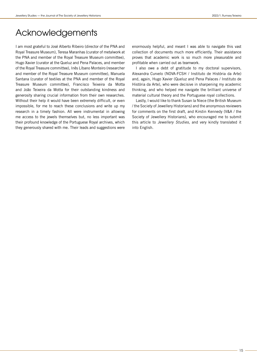# Acknowledgements

I am most grateful to José Alberto Ribeiro (director of the PNA and Royal Treasure Museum), Teresa Maranhas (curator of metalwork at the PNA and member of the Royal Treasure Museum committee), Hugo Xavier (curator at the Queluz and Pena Palaces, and member of the Royal Treasure committee), Inês Líbano Monteiro (researcher and member of the Royal Treasure Museum committee), Manuela Santana (curator of textiles at the PNA and member of the Royal Treasure Museum committee), Francisco Teixeira da Motta and João Teixeira da Motta for their outstanding kindness and generosity sharing crucial information from their own researches. Without their help it would have been extremely difficult, or even impossible, for me to reach these conclusions and write up my research in a timely fashion. All were instrumental in allowing me access to the jewels themselves but, no less important was their profound knowledge of the Portuguese Royal archives, which they generously shared with me. Their leads and suggestions were

enormously helpful, and meant I was able to navigate this vast collection of documents much more efficiently. Their assistance proves that academic work is so much more pleasurable and profitable when carried out as teamwork.

I also owe a debt of gratitude to my doctoral supervisors, Alexandra Curvelo (NOVA-FCSH / Instituto de História da Arte) and, again, Hugo Xavier (Queluz and Pena Palaces / Instituto de História da Arte), who were decisive in sharpening my academic thinking, and who helped me navigate the brilliant universe of material cultural theory and the Portuguese royal collections.

Lastly, I would like to thank Susan la Niece (the British Museum / the Society of Jewellery Historians) and the anonymous reviewers for comments on the first draft, and Kirstin Kennedy (V&A / the Society of Jewellery Historians), who encouraged me to submit this article to Jewellery Studies, and very kindly translated it into English.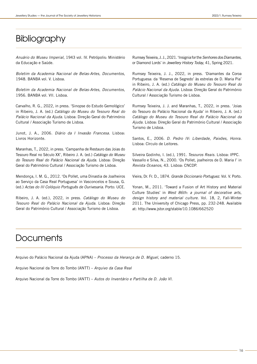# **Bibliography**

Anuário do Museu Imperial, 1943 vol. IV. Petrópolis: Ministério da Educação e Saúde.

Boletim da Academia Nacional de Belas-Artes, Documentos, 1948. BANBA vol. V. Lisboa.

Boletim da Academia Nacional de Belas-Artes, Documentos, 1956. BANBA vol. VII. Lisboa.

Carvalho, R. G., 2022, in press. 'Sinopse do Estudo Gemológico' in Ribeiro, J. A. (ed.) Catálogo do Museu do Tesouro Real do Palácio Nacional da Ajuda. Lisboa: Direção Geral do Património Cultural / Associação Turismo de Lisboa.

Junot, J. A., 2006. Diário da I Invasão Francesa. Lisboa: Livros Horizonte.

Maranhas, T., 2022, in press. 'Campanha de Restauro das Joias do Tesouro Real no Século XX', Ribeiro J. A. (ed.) Catálogo do Museu do Tesouro Real do Palácio Nacional da Ajuda. Lisboa: Direção Geral do Património Cultural / Associação Turismo de Lisboa.

Mendonça, I. M. G., 2012. 'Os Pollet, uma Dinastia de Joalheiros ao Serviço da Casa Real Portuguesa' in Vasconcelos e Sousa, G. (ed.) Actas do III Colóquio Português de Ourivesaria. Porto: UCE.

Ribeiro, J. A. (ed.), 2022, in press. Catálogo do Museu do Tesouro Real do Palácio Nacional da Ajuda. Lisboa: Direção Geral do Património Cultural / Associação Turismo de Lisboa.

Rumsey Teixeira, J. J., 2021. 'Insignia for the Senhores dos Diamantes, or Diamond Lords' in Jewellery History Today, 41, Spring 2021.

Rumsey Teixeira, J. J., 2022, in press. 'Diamantes da Coroa Portuguesa: da 'Reserva de Segredo' às estrelas de D. Maria Pia' in Ribeiro, J. A. (ed.) Catálogo do Museu do Tesouro Real do Palácio Nacional da Ajuda. Lisboa: Direção Geral do Património Cultural / Associação Turismo de Lisboa.

Rumsey Teixeira, J. J. and Maranhas, T., 2022, in press. 'Joias do Tesouro do Palácio Nacional da Ajuda' in Ribeiro, J. A. (ed.) Catálogo do Museu do Tesouro Real do Palácio Nacional da Ajuda. Lisboa: Direção Geral do Património Cultural / Associação Turismo de Lisboa.

Santos, E., 2006. D. Pedro IV: Liberdade, Paixões, Honra. Lisboa: Círculo de Leitores.

Silveira Godinho, I. (ed.), 1991. Tesouros Reais. Lisboa: IPPC. Vassallo e Silva, N., 2000. 'Os Pollet, joalheiros de D. Maria I' in Revista Oceanos, 43. Lisboa: CNCDP.

Vieira, Dr. Fr. D., 1874. Grande Diccionario Portuguez. Vol. V. Porto.

Yonan, M., 2011. 'Toward a Fusion of Art History and Material Culture Studies' in West 86th: a journal of decorative arts, design history and material culture. Vol. 18, 2, Fall-Winter 2011. The University of Chicago Press, pp. 232-248. Available at: http://www.jstor.org/stable/10.1086/662520

# **Documents**

Arquivo do Palácio Nacional da Ajuda (APNA) – Processo da Herança de D. Miguel, caderno 15.

Arquivo Nacional da Torre do Tombo (ANTT) – Arquivo da Casa Real

Arquivo Nacional da Torre do Tombo (ANTT) – Autos do Inventário e Partilha de D. João VI.